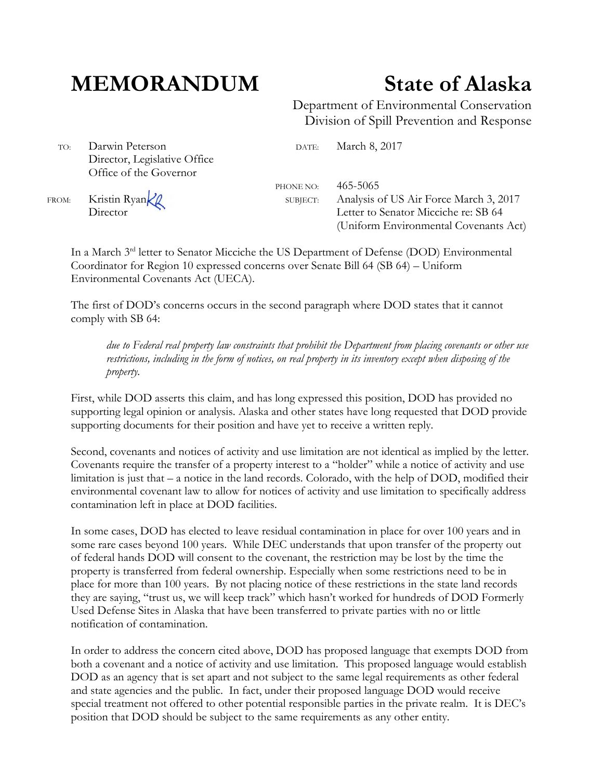## **MEMORANDUM State of Alaska**

Department of Environmental Conservation Division of Spill Prevention and Response

TO: Darwin Peterson DATE: March 8, 2017 Director, Legislative Office Office of the Governor

PHONE NO: 465-5065 FROM: Kristin Ryan K SUBJECT: Analysis of US Air Force March 3, 2017<br>Director Letter to Senator Micciche re: SB 64 Letter to Senator Micciche re: SB 64 (Uniform Environmental Covenants Act)

> In a March 3<sup>rd</sup> letter to Senator Micciche the US Department of Defense (DOD) Environmental Coordinator for Region 10 expressed concerns over Senate Bill 64 (SB 64) – Uniform Environmental Covenants Act (UECA).

The first of DOD's concerns occurs in the second paragraph where DOD states that it cannot comply with SB 64:

*due to Federal real property law constraints that prohibit the Department from placing covenants or other use restrictions, including in the form of notices, on real property in its inventory except when disposing of the property.* 

First, while DOD asserts this claim, and has long expressed this position, DOD has provided no supporting legal opinion or analysis. Alaska and other states have long requested that DOD provide supporting documents for their position and have yet to receive a written reply.

Second, covenants and notices of activity and use limitation are not identical as implied by the letter. Covenants require the transfer of a property interest to a "holder" while a notice of activity and use limitation is just that – a notice in the land records. Colorado, with the help of DOD, modified their environmental covenant law to allow for notices of activity and use limitation to specifically address contamination left in place at DOD facilities.

In some cases, DOD has elected to leave residual contamination in place for over 100 years and in some rare cases beyond 100 years. While DEC understands that upon transfer of the property out of federal hands DOD will consent to the covenant, the restriction may be lost by the time the property is transferred from federal ownership. Especially when some restrictions need to be in place for more than 100 years. By not placing notice of these restrictions in the state land records they are saying, "trust us, we will keep track" which hasn't worked for hundreds of DOD Formerly Used Defense Sites in Alaska that have been transferred to private parties with no or little notification of contamination.

In order to address the concern cited above, DOD has proposed language that exempts DOD from both a covenant and a notice of activity and use limitation. This proposed language would establish DOD as an agency that is set apart and not subject to the same legal requirements as other federal and state agencies and the public. In fact, under their proposed language DOD would receive special treatment not offered to other potential responsible parties in the private realm. It is DEC's position that DOD should be subject to the same requirements as any other entity.